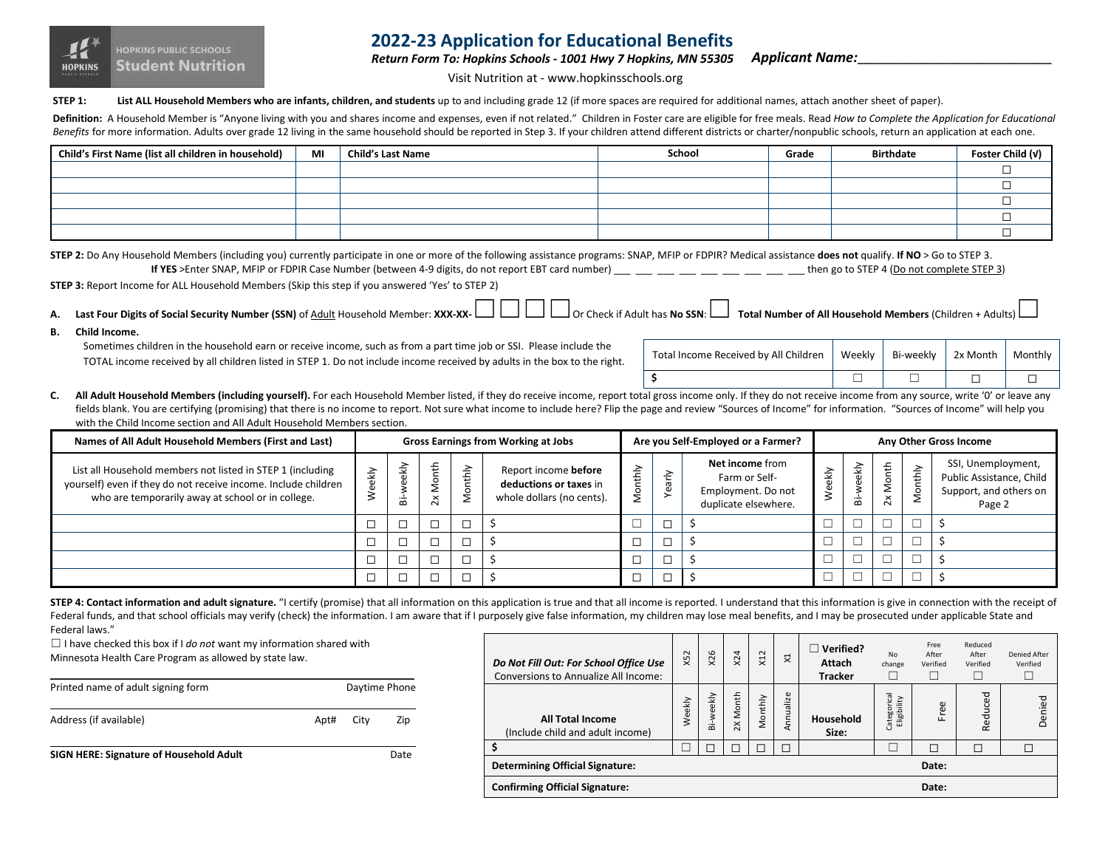

# **2022-23 Application for Educational Benefits**

*Return Form To: Hopkins Schools - 1001 Hwy 7 Hopkins, MN 55305*

*Applicant Name:***\_\_\_\_\_\_\_\_\_\_\_\_\_\_\_\_\_\_\_\_\_\_\_\_\_\_\_\_\_\_\_\_\_\_\_**

Visit Nutrition at - www.hopkinsschools.org

**STEP 1:** List ALL Household Members who are infants, children, and students up to and including grade 12 (if more spaces are required for additional names, attach another sheet of paper).

Definition: A Household Member is "Anyone living with you and shares income and expenses, even if not related." Children in Foster care are eligible for free meals. Read How to Complete the Application for Educational Benefits for more information. Adults over grade 12 living in the same household should be reported in Step 3. If your children attend different districts or charter/nonpublic schools, return an application at each one.

| Child's First Name (list all children in household) | MI | <b>Child's Last Name</b> | School | Grade | <b>Birthdate</b> | Foster Child (v) |
|-----------------------------------------------------|----|--------------------------|--------|-------|------------------|------------------|
|                                                     |    |                          |        |       |                  |                  |
|                                                     |    |                          |        |       |                  |                  |
|                                                     |    |                          |        |       |                  |                  |
|                                                     |    |                          |        |       |                  |                  |
|                                                     |    |                          |        |       |                  |                  |

| STEP 2: Do Any Household Members (including you) currently participate in one or more of the following assistance programs: SNAP, MFIP or FDPIR? Medical assistance does not qualify. If NO > Go to STEP 3. |                                            |
|-------------------------------------------------------------------------------------------------------------------------------------------------------------------------------------------------------------|--------------------------------------------|
| If YES > Enter SNAP, MFIP or FDPIR Case Number (between 4-9 digits, do not report EBT card number)                                                                                                          | then go to STEP 4 (Do not complete STEP 3) |
|                                                                                                                                                                                                             |                                            |

**STEP 3:** Report Income for ALL Household Members (Skip this step if you answered 'Yes' to STEP 2)

A. Last Four Digits of Social Security Number (SSN) of Adult Household Member: XXX-XX- LILIDIOr Check if Adult has No SSN: LI Total Number of All Household Members (Children + Adults)

**B. Child Income.**

Sometimes children in the household earn or receive income, such as from a part time job or SSI. Please include the TOTAL income received by all children listed in STEP 1. Do not include income received by adults in the box to the right.

| Total Income Received by All Children   Weekly   Bi-weekly   2x Month   Monthly |  |  |
|---------------------------------------------------------------------------------|--|--|
|                                                                                 |  |  |

C. All Adult Household Members (including yourself). For each Household Member listed, if they do receive income, report total gross income only. If they do not receive income from any source, write '0' or leave any fields blank. You are certifying (promising) that there is no income to report. Not sure what income to include here? Flip the page and review "Sources of Income" for information. "Sources of Income" will help you with the Child Income section and All Adult Household Members section.

| Names of All Adult Household Members (First and Last)                                                                                                                             | <b>Gross Earnings from Working at Jobs</b> |           |   | Are you Self-Employed or a Farmer?               |                                                                             |     | Any Other Gross Income |                                                                                       |   |           |                                          |            |                                                                                    |
|-----------------------------------------------------------------------------------------------------------------------------------------------------------------------------------|--------------------------------------------|-----------|---|--------------------------------------------------|-----------------------------------------------------------------------------|-----|------------------------|---------------------------------------------------------------------------------------|---|-----------|------------------------------------------|------------|------------------------------------------------------------------------------------|
| List all Household members not listed in STEP 1 (including<br>yourself) even if they do not receive income. Include children<br>who are temporarily away at school or in college. | ΚŅ                                         | ekly<br>ä | ᆂ | thly<br>$\circ$<br>$\overline{\phantom{0}}$<br>2 | Report income before<br>deductions or taxes in<br>whole dollars (no cents). | λqu | Yea                    | <b>Net income from</b><br>Farm or Self-<br>Employment. Do not<br>duplicate elsewhere. | ξ | ekly<br>ā | <b>Aonth</b><br>2<br>$\overline{\alpha}$ | hthly<br>ĕ | SSI, Unemployment,<br>Public Assistance, Child<br>Support, and others on<br>Page 2 |
|                                                                                                                                                                                   |                                            |           |   |                                                  |                                                                             | ╾   |                        |                                                                                       |   |           | ┕                                        |            |                                                                                    |
|                                                                                                                                                                                   |                                            | ┍         |   |                                                  |                                                                             |     |                        |                                                                                       |   |           |                                          |            |                                                                                    |
|                                                                                                                                                                                   |                                            |           |   |                                                  |                                                                             |     |                        |                                                                                       |   |           | └                                        |            |                                                                                    |
|                                                                                                                                                                                   |                                            |           |   |                                                  |                                                                             |     |                        |                                                                                       |   |           |                                          |            |                                                                                    |

STEP 4: Contact information and adult signature. "I certify (promise) that all information on this application is true and that all income is reported. I understand that this information is give in connection with the rece Federal funds, and that school officials may verify (check) the information. I am aware that if I purposely give false information, my children may lose meal benefits, and I may be prosecuted under applicable State and Federal laws."

 $\Box$  I have checked this box if I *do not* want my information shared with Minnesota Health Care Program as allowed by state law.

| Printed name of adult signing form      |      | Daytime Phone |      |  |
|-----------------------------------------|------|---------------|------|--|
| Address (if available)                  | Apt# | City          | Zip  |  |
| SIGN HERE: Signature of Household Adult |      |               | Date |  |

| Do Not Fill Out: For School Office Use<br><b>Conversions to Annualize All Income:</b> | $\sim$<br>λŘ | x26       | x <sub>24</sub> | X12     | 귯             | $\Box$ Verified?<br><b>Attach</b><br><b>Tracker</b> | No<br>change               | Free<br>After<br>Verified | Reduced<br>After<br>Verified | Denied After<br>Verified |
|---------------------------------------------------------------------------------------|--------------|-----------|-----------------|---------|---------------|-----------------------------------------------------|----------------------------|---------------------------|------------------------------|--------------------------|
| <b>All Total Income</b><br>(Include child and adult income)                           | Weekly       | 3i-weekly | Month<br>$\geq$ | Monthly | nnualize<br>⋖ | Household<br>Size:                                  | Categorical<br>Eligibility | Free                      | Reduced                      | ਹ<br>enie<br>$\bigcap$   |
| \$                                                                                    |              |           | Г               |         |               |                                                     |                            | г                         | П                            |                          |
| <b>Determining Official Signature:</b>                                                |              |           |                 |         |               |                                                     |                            | Date:                     |                              |                          |
| <b>Confirming Official Signature:</b>                                                 |              |           |                 |         |               |                                                     |                            | Date:                     |                              |                          |